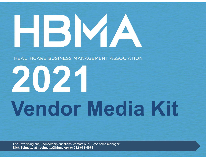# HBMA

HEALTHCARE BUSINESS MANAGEMENT ASSOCIATION

# 2021 **Vendor Media Kit**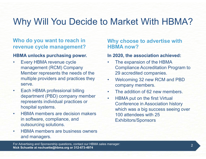# Why Will You Decide to Market With HBMA?

#### Who do you want to reach in revenue cycle management?

#### HBMA unlocks purchasing power.

- Why Will You Decide to<br>
Who do you want to reach in<br>
revenue cycle management?<br>
HBMA unlocks purchasing power.<br>
 Every HBMA revenue cycle<br>
management (RCM) Company<br>
Member represents the needs of the<br>
multiple providers a management (RCM) Company Member represents the needs of the multiple providers and practices they serve. **Example 19 You want to reach in<br>
Figure 19 You want to reach in<br>
Figure 19 You want to reach in<br>
Figure 19 You want to reach in<br>
Figure 19 You want to reach in<br>
FIGMA professional billing<br>
Member represents the needs of t** From HBMA unlocks purchasing power. In 202<br>
• Every HBMA revenue cycle • The management (RCM) Company<br>
Member represents the needs of the 29<br>
multiple providers and practices they • We<br>
serve. Company member • Company memb management (RCM) Company<br>
Member represents the needs of the<br>
erve.<br>
• Cach HBMA professional billing<br>
• Cach HBMA professional billing<br>
• Cach HBMA professional billing<br>
• Cach HBMA professional billing<br>
• Cach HBMA profe
- department (PBD) company member HBMA put on the first Virtual represents individual practices or hospital systems.
- in software, compliance, and outsourcing solutions.
- and managers.

#### Why choose to advertise with HBMA now?

#### In 2020, the association achieved:

- Market With HBMA?<br>
Why choose to advertise with<br>
HBMA now?<br>
In 2020, the association achieved:<br>
 The expansion of the HBMA<br>
Compliance Accreditation Program to<br>
29 accredited companies. Compliance Accreditation Program to 29 accredited companies. Market With HBMA?<br>
Why choose to advertise with<br>
HBMA now?<br>
In 2020, the association achieved:<br>
• The expansion of the HBMA<br>
Compliance Accreditation Program to<br>
29 accredited companies.<br>
• Welcoming 32 new RCM and PBD<br>
• **• The addition of 62 new members.**<br>• The expansion of the HBMA<br>• The expansion of the HBMA<br>• The expansion of the HBMA<br>• Compliance Accreditation Program to<br>• 29 accredited companies.<br>• Welcoming 32 new RCM and PBD<br>• The
- company members.
- 
- Why choose to advertise with<br>
HBMA now?<br>
In 2020, the association achieved:<br>
 The expansion of the HBMA<br>
Compliance Accreditation Program to<br>
29 accredited companies.<br>
 Welcoming 32 new RCM and PBD<br>
company members.<br>
 T Conference in Association history which was a big success seeing over 100 attendees with 25 Exhibitors/Sponsors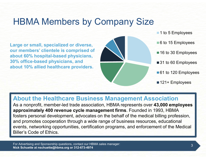### HBMA Members by Company Size

Large or small, specialized or diverse, our members' clientele is comprised of about 60% hospital-based physicians, 30% office-based physicians, and about 10% allied healthcare providers.



- ■6 to 15 Employees
- 16 to 30 Employees
- ■31 to 60 Employees
- 61 to 120 Employees
- 121+ Employees

#### About the Healthcare Business Management Association

As a nonprofit, member-led trade association, HBMA represents over 43,000 employees approximately 400 revenue cycle management firms. Founded in 1993, HBMA fosters personal development, advocates on the behalf of the medical billing profession, and promotes cooperation through a wide range of business resources, educational events, networking opportunities, certification programs, and enforcement of the Medical Biller's Code of Ethics.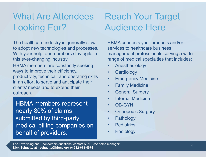# What Are Attendees Looking For?

The healthcare industry is generally slow to adopt new technologies and processes. With your help, our members stay agile in this ever-changing industry.

HBMA members are constantly seeking ways to improve their efficiency, productivity, technical, and operating skills . Emergency Medicine in an effort to serve and anticipate their<br>elients' needs and to extend their<br>elients' needs and to extend their clients' needs and to extend their outreach.

HBMA members represent and states. nearly 80% of claims submitted by third-party medical billing companies on **Fig. 1** Pediatrics behalf of providers.

# Reach Your Target Audience Here

HBMA connects your products and/or services to healthcare business management professionals serving a wide range of medical specialties that includes: Reach Your Target<br>
HBMA connects your products and/or<br>
services to healthcare business<br>
management professionals serving a wide<br>
range of medical specialties that includes:<br>
• Anesthesiology<br>
• Cardiology<br>
• Emergency Medi Reach Your Target<br>
HBMA connects your products and/or<br>
services to healthcare business<br>
management professionals serving a wide<br>
range of medical specialties that includes:<br>
• Anesthesiology<br>
• Emergency Medicine<br>
• Family Reach Your Target<br>
HBMA connects your products and/or<br>
services to healthcare business<br>
management professionals serving a wide<br>
range of medical specialties that includes:<br>
• Anesthesiology<br>
• Emergency Medicine<br>
• Family Nudience Here<br>
HBMA connects your products and/or<br>
services to healthcare business<br>
management professionals serving a wide<br>
range of medical specialties that includes:<br>
• Anesthesiology<br>
• Cardiology<br>
• Emergency Medicine **Audience Here**<br>
HBMA connects your products and/or<br>
services to healthcare business<br>
management professionals serving a wide<br>
range of medical specialties that includes:<br>
• Anesthesiology<br>
• Cardiology<br>
• Emergency Medici HBMA connects your products and/or<br>services to healthcare business<br>management professionals serving a wide<br>range of medical specialties that includes:<br>• Anesthesiology<br>• Cardiology<br>• Emergency Medicine<br>• General Surgery<br>• HBMA connects your products and/or<br>services to healthcare business<br>management professionals serving a wide<br>range of medical specialties that includes:<br>• Anesthesiology<br>• Cardiology<br>• Emergency Medicine<br>• Family Medicine<br>• services to healthcare business<br>
management professionals serving a wide<br>
range of medical specialties that includes:<br>
• Anesthesiology<br>
• Cardiology<br>
• Emergency Medicine<br>
• Family Medicine<br>
• General Surgery<br>
• Internal management professionals serving a wide<br>
range of medical specialties that includes:<br>
• Anesthesiology<br>
• Cardiology<br>
• Emergency Medicine<br>
• Family Medicine<br>
• General Surgery<br>
• Internal Medicine<br>
• OB-GYN<br>
• Orthopedic range of medical specialties that includes:<br>
• Anesthesiology<br>
• Cardiology<br>
• Emergency Medicine<br>
• Family Medicine<br>
• General Surgery<br>
• Internal Medicine<br>
• OB-GYN<br>
• Orthopedic Surgery<br>
• Pathology<br>
• Pediatrics<br>
• Rad

- 
- 
- Anesthesiology<br>• Cardiology<br>• Emergency Medicine<br>• General Surgery<br>• Internal Medicine<br>• OB-GYN<br>• Orthopedic Surgery<br>• Pathology<br>• Pediatrics<br>• Radiology<br>• Radiology<br>• Radiology<br>• Radiology
- 
- 
- 
- 
- 
- 
- 
-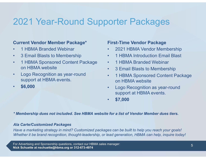# 2021 Year-Round Supporter Packages **2021 Year-Round Supp<br>
Current Vendor Member Package\***<br>
• 1 HBMA Branded Webinar<br>
• 3 Email Blasts to Membership<br>
• 1 HBMA Sponsored Content Package • 3 Email Blasts to Membership 2021 Year-Round Supports<br>
Current Vendor Member Package\* First-T<br>
• 1 HBMA Branded Webinar • 20:<br>
• 3 Email Blasts to Membership • 1 HBMA Sponsored Content Package • 1 +<br>
• 1 HBMA website • 3 E<br>
• Logo Recognition as year-**2021 Year-Round Supper**<br> **Current Vendor Member Package\***<br>
• 1 HBMA Branded Webinar<br>
• 3 Email Blasts to Membership<br>
• 1 HBMA Sponsored Content Package<br>
• Logo Recognition as year-round<br>
• Logo Recognition as year-round<br> First-Time Vendor Package<br>• 2021 HBMA Vendor Membership<br>• 1 HBMA Introduction Email Blast<br>• 1 HBMA Branded Webinar **Orter Packages<br>• 1 HBMA Vendor Package<br>• 2021 HBMA Vendor Membership<br>• 1 HBMA Introduction Email Blast<br>• 1 HBMA Branded Webinar<br>• 3 Email Blasts to Membership** Orter Packages<br>
• 2021 HBMA Vendor Membership<br>• 1 HBMA Introduction Email Blast<br>• 1 HBMA Branded Webinar<br>• 3 Email Blasts to Membership<br>• 1 HBMA Sponsored Content Package

#### Current Vendor Member Package\*

- 
- 
- on HBMA website
- support at HBMA events.
- \$6,000

#### First-Time Vendor Package

- 
- 
- 
- 
- **Orter Packages<br>First-Time Vendor Package<br>• 2021 HBMA Vendor Membership<br>• 1 HBMA Introduction Email Blast<br>• 1 HBMA Branded Webinar<br>• 3 Email Blasts to Membership<br>• 1 HBMA Sponsored Content Package<br>• 01 HBMA website First-Time Vendor Package**<br>• 2021 HBMA Vendor Membership<br>• 1 HBMA Introduction Email Blast<br>• 1 HBMA Branded Webinar<br>• 3 Email Blasts to Membership<br>• 1 HBMA Sponsored Content Package<br>• Logo Recognition as year-round<br>• Logo on HBMA website • COTTET PACKAGES<br>
• 2021 HBMA Vendor Membership<br>
• 1 HBMA Introduction Email Blast<br>
• 1 HBMA Branded Webinar<br>
• 3 Email Blasts to Membership<br>
• 1 HBMA Sponsored Content Package<br>
• Logo Recognition as year-round<br>
support a
- support at HBMA events.
- $\cdot$  \$7,000

\* Membership dues not included. See HBMA website for a list of Vendor Member dues tiers.

#### Ala Carte/Customized Packages

Have a marketing strategy in mind? Customized packages can be built to help you reach your goals! Whether it be brand recognition, thought-leadership, or lead generation, HBMA can help, inquire today!